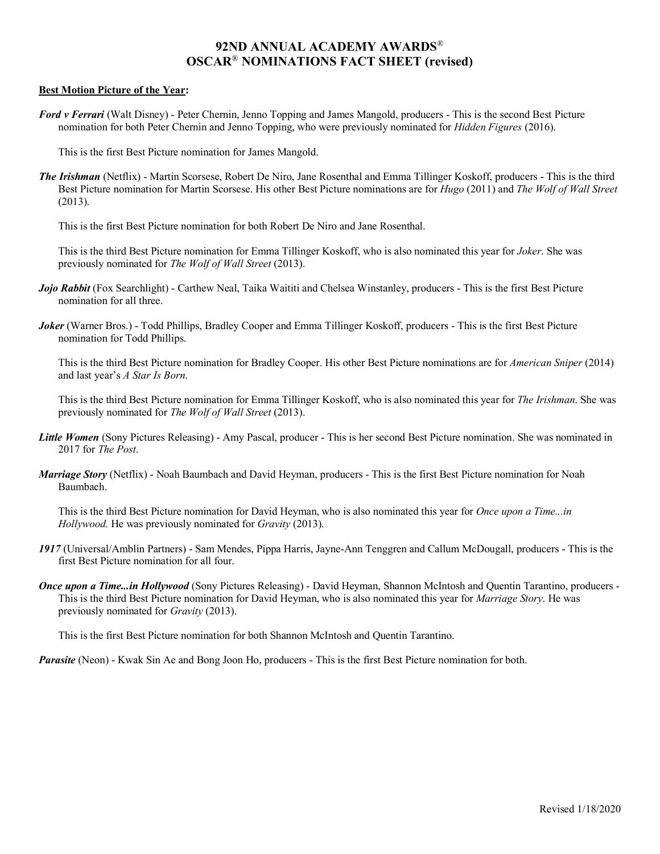# **92ND ANNUAL ACADEMY AWARDS**® **OSCAR**® **NOMINATIONS FACT SHEET (revised)**

#### **Best Motion Picture of the Year:**

*Ford v Ferrari* (Walt Disney) - Peter Chernin, Jenno Topping and James Mangold, producers - This is the second Best Picture nomination for both Peter Chernin and Jenno Topping, who were previously nominated for *Hidden Figures* (2016).

This is the first Best Picture nomination for James Mangold.

*The Irishman* (Netflix) - Martin Scorsese, Robert De Niro, Jane Rosenthal and Emma Tillinger Koskoff, producers - This is the third Best Picture nomination for Martin Scorsese. His other Best Picture nominations are for *Hugo* (2011) and *The Wolf of Wall Street* (2013).

This is the first Best Picture nomination for both Robert De Niro and Jane Rosenthal.

This is the third Best Picture nomination for Emma Tillinger Koskoff, who is also nominated this year for *Joker*. She was previously nominated for *The Wolf of Wall Street* (2013).

- *Jojo Rabbit* (Fox Searchlight) Carthew Neal, Taika Waititi and Chelsea Winstanley, producers This is the first Best Picture nomination for all three.
- *Joker* (Warner Bros.) Todd Phillips, Bradley Cooper and Emma Tillinger Koskoff, producers This is the first Best Picture nomination for Todd Phillips.

This is the third Best Picture nomination for Bradley Cooper. His other Best Picture nominations are for *American Sniper* (2014) and last year's *A Star Is Born*.

This is the third Best Picture nomination for Emma Tillinger Koskoff, who is also nominated this year for *The Irishman*. She was previously nominated for *The Wolf of Wall Street* (2013).

- **Little Women** (Sony Pictures Releasing) Amy Pascal, producer This is her second Best Picture nomination. She was nominated in 2017 for *The Post*.
- *Marriage Story* (Netflix) Noah Baumbach and David Heyman, producers This is the first Best Picture nomination for Noah Baumbach.

This is the third Best Picture nomination for David Heyman, who is also nominated this year for *Once upon a Time...in Hollywood*. He was previously nominated for *Gravity* (2013).

- *1917* (Universal/Amblin Partners) Sam Mendes, Pippa Harris, Jayne-Ann Tenggren and Callum McDougall, producers This is the first Best Picture nomination for all four.
- *Once upon a Time...in Hollywood* (Sony Pictures Releasing) David Heyman, Shannon McIntosh and Quentin Tarantino, producers This is the third Best Picture nomination for David Heyman, who is also nominated this year for *Marriage Story*. He was previously nominated for *Gravity* (2013).

This is the first Best Picture nomination for both Shannon McIntosh and Quentin Tarantino.

*Parasite* (Neon) - Kwak Sin Ae and Bong Joon Ho, producers - This is the first Best Picture nomination for both.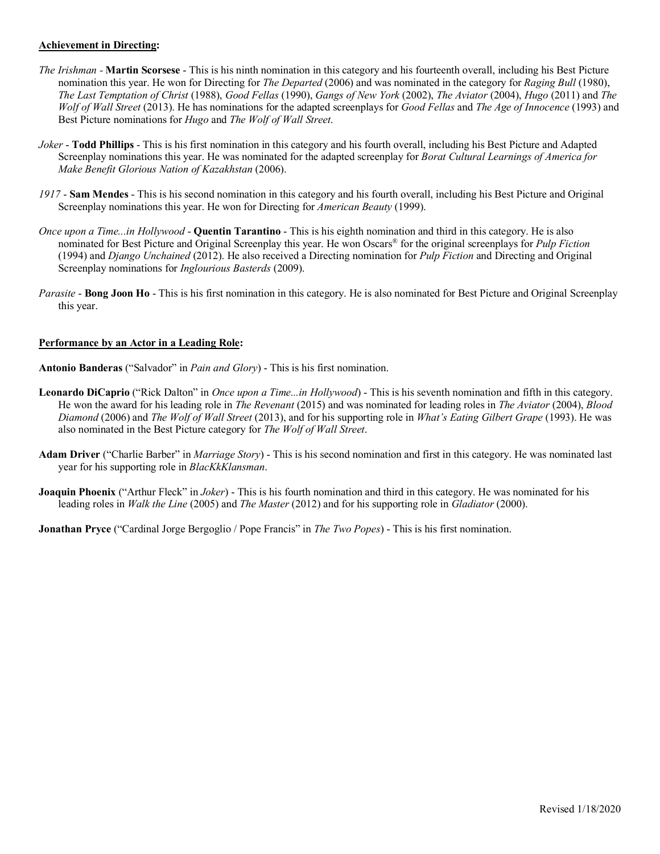## **Achievement in Directing:**

- *The Irishman -* **Martin Scorsese** This is his ninth nomination in this category and his fourteenth overall, including his Best Picture nomination this year. He won for Directing for *The Departed* (2006) and was nominated in the category for *Raging Bull* (1980), *The Last Temptation of Christ* (1988), *Good Fellas* (1990), *Gangs of New York* (2002), *The Aviator* (2004), *Hugo* (2011) and *The Wolf of Wall Street* (2013). He has nominations for the adapted screenplays for *Good Fellas* and *The Age of Innocence* (1993) and Best Picture nominations for *Hugo* and *The Wolf of Wall Street*.
- *Joker* **Todd Phillips** This is his first nomination in this category and his fourth overall, including his Best Picture and Adapted Screenplay nominations this year. He was nominated for the adapted screenplay for *Borat Cultural Learnings of America for Make Benefit Glorious Nation of Kazakhstan* (2006).
- *1917* **Sam Mendes** This is his second nomination in this category and his fourth overall, including his Best Picture and Original Screenplay nominations this year. He won for Directing for *American Beauty* (1999).
- *Once upon a Time...in Hollywood* **Quentin Tarantino** This is his eighth nomination and third in this category. He is also nominated for Best Picture and Original Screenplay this year. He won Oscars® for the original screenplays for *Pulp Fiction* (1994) and *Django Unchained* (2012). He also received a Directing nomination for *Pulp Fiction* and Directing and Original Screenplay nominations for *Inglourious Basterds* (2009).
- *Parasite* **Bong Joon Ho** This is his first nomination in this category. He is also nominated for Best Picture and Original Screenplay this year.

### **Performance by an Actor in a Leading Role:**

**Antonio Banderas** ("Salvador" in *Pain and Glory*) - This is his first nomination.

- **Leonardo DiCaprio** ("Rick Dalton" in *Once upon a Time...in Hollywood*) This is his seventh nomination and fifth in this category. He won the award for his leading role in *The Revenant* (2015) and was nominated for leading roles in *The Aviator* (2004), *Blood Diamond* (2006) and *The Wolf of Wall Street* (2013), and for his supporting role in *What's Eating Gilbert Grape* (1993). He was also nominated in the Best Picture category for *The Wolf of Wall Street*.
- **Adam Driver** ("Charlie Barber" in *Marriage Story*) This is his second nomination and first in this category. He was nominated last year for his supporting role in *BlacKkKlansman*.
- **Joaquin Phoenix** ("Arthur Fleck" in *Joker*) This is his fourth nomination and third in this category. He was nominated for his leading roles in *Walk the Line* (2005) and *The Master* (2012) and for his supporting role in *Gladiator* (2000).

**Jonathan Pryce** ("Cardinal Jorge Bergoglio / Pope Francis" in *The Two Popes*) - This is his first nomination.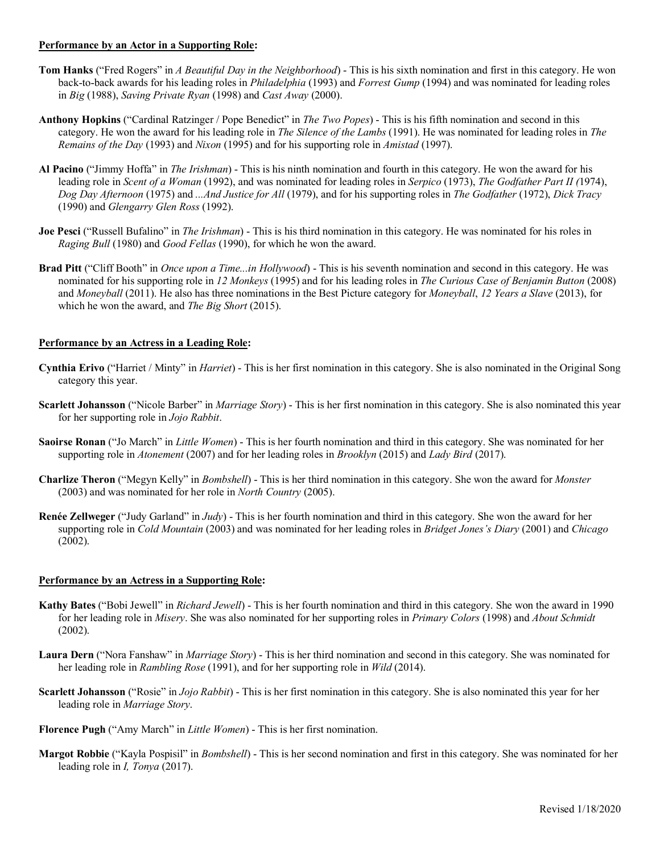### **Performance by an Actor in a Supporting Role:**

- **Tom Hanks** ("Fred Rogers" in *A Beautiful Day in the Neighborhood*) This is his sixth nomination and first in this category. He won back-to-back awards for his leading roles in *Philadelphia* (1993) and *Forrest Gump* (1994) and was nominated for leading roles in *Big* (1988), *Saving Private Ryan* (1998) and *Cast Away* (2000).
- **Anthony Hopkins** ("Cardinal Ratzinger / Pope Benedict" in *The Two Popes*) This is his fifth nomination and second in this category. He won the award for his leading role in *The Silence of the Lambs* (1991). He was nominated for leading roles in *The Remains of the Day* (1993) and *Nixon* (1995) and for his supporting role in *Amistad* (1997).
- **Al Pacino** ("Jimmy Hoffa" in *The Irishman*) This is his ninth nomination and fourth in this category. He won the award for his leading role in *Scent of a Woman* (1992), and was nominated for leading roles in *Serpico* (1973), *The Godfather Part II (*1974), *Dog Day Afternoon* (1975) and *...And Justice for All* (1979), and for his supporting roles in *The Godfather* (1972), *Dick Tracy* (1990) and *Glengarry Glen Ross* (1992).
- **Joe Pesci** ("Russell Bufalino" in *The Irishman*) This is his third nomination in this category. He was nominated for his roles in *Raging Bull* (1980) and *Good Fellas* (1990), for which he won the award.
- **Brad Pitt** ("Cliff Booth" in *Once upon a Time...in Hollywood*) This is his seventh nomination and second in this category. He was nominated for his supporting role in *12 Monkeys* (1995) and for his leading roles in *The Curious Case of Benjamin Button* (2008) and *Moneyball* (2011). He also has three nominations in the Best Picture category for *Moneyball*, *12 Years a Slave* (2013), for which he won the award, and *The Big Short* (2015).

### **Performance by an Actress in a Leading Role:**

- **Cynthia Erivo** ("Harriet / Minty" in *Harriet*) This is her first nomination in this category. She is also nominated in the Original Song category this year.
- **Scarlett Johansson** ("Nicole Barber" in *Marriage Story*) This is her first nomination in this category. She is also nominated this year for her supporting role in *Jojo Rabbit*.
- **Saoirse Ronan** ("Jo March" in *Little Women*) This is her fourth nomination and third in this category. She was nominated for her supporting role in *Atonement* (2007) and for her leading roles in *Brooklyn* (2015) and *Lady Bird* (2017).
- **Charlize Theron** ("Megyn Kelly" in *Bombshell*) This is her third nomination in this category. She won the award for *Monster* (2003) and was nominated for her role in *North Country* (2005).
- **Renée Zellweger** ("Judy Garland" in *Judy*) This is her fourth nomination and third in this category. She won the award for her supporting role in *Cold Mountain* (2003) and was nominated for her leading roles in *Bridget Jones's Diary* (2001) and *Chicago* (2002).

#### **Performance by an Actress in a Supporting Role:**

- **Kathy Bates** ("Bobi Jewell" in *Richard Jewell*) This is her fourth nomination and third in this category. She won the award in 1990 for her leading role in *Misery*. She was also nominated for her supporting roles in *Primary Colors* (1998) and *About Schmidt* (2002).
- **Laura Dern** ("Nora Fanshaw" in *Marriage Story*) This is her third nomination and second in this category. She was nominated for her leading role in *Rambling Rose* (1991), and for her supporting role in *Wild* (2014).
- **Scarlett Johansson** ("Rosie" in *Jojo Rabbit*) This is her first nomination in this category. She is also nominated this year for her leading role in *Marriage Story*.
- **Florence Pugh** ("Amy March" in *Little Women*) This is her first nomination.
- **Margot Robbie** ("Kayla Pospisil" in *Bombshell*) This is her second nomination and first in this category. She was nominated for her leading role in *I, Tonya* (2017).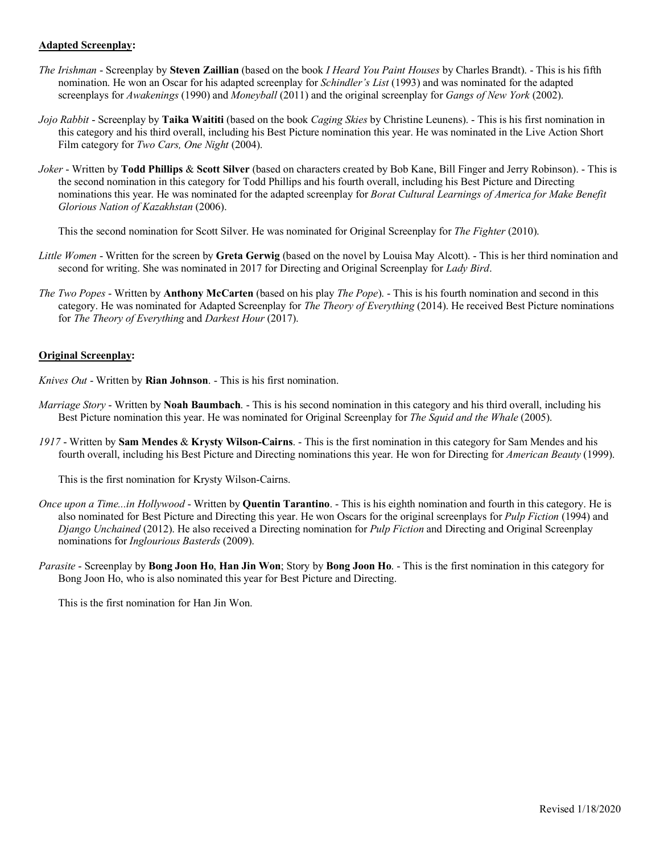# **Adapted Screenplay:**

- *The Irishman* Screenplay by **Steven Zaillian** (based on the book *I Heard You Paint Houses* by Charles Brandt). This is his fifth nomination. He won an Oscar for his adapted screenplay for *Schindler's List* (1993) and was nominated for the adapted screenplays for *Awakenings* (1990) and *Moneyball* (2011) and the original screenplay for *Gangs of New York* (2002).
- *Jojo Rabbit* Screenplay by **Taika Waititi** (based on the book *Caging Skies* by Christine Leunens). This is his first nomination in this category and his third overall, including his Best Picture nomination this year. He was nominated in the Live Action Short Film category for *Two Cars, One Night* (2004).
- *Joker* Written by **Todd Phillips** & **Scott Silver** (based on characters created by Bob Kane, Bill Finger and Jerry Robinson). This is the second nomination in this category for Todd Phillips and his fourth overall, including his Best Picture and Directing nominations this year. He was nominated for the adapted screenplay for *Borat Cultural Learnings of America for Make Benefit Glorious Nation of Kazakhstan* (2006).

This the second nomination for Scott Silver. He was nominated for Original Screenplay for *The Fighter* (2010).

- *Little Women* Written for the screen by **Greta Gerwig** (based on the novel by Louisa May Alcott). This is her third nomination and second for writing. She was nominated in 2017 for Directing and Original Screenplay for *Lady Bird*.
- *The Two Popes* Written by **Anthony McCarten** (based on his play *The Pope*). This is his fourth nomination and second in this category. He was nominated for Adapted Screenplay for *The Theory of Everything* (2014). He received Best Picture nominations for *The Theory of Everything* and *Darkest Hour* (2017).

### **Original Screenplay:**

*Knives Out* - Written by **Rian Johnson**. - This is his first nomination.

- *Marriage Story* Written by **Noah Baumbach**. This is his second nomination in this category and his third overall, including his Best Picture nomination this year. He was nominated for Original Screenplay for *The Squid and the Whale* (2005).
- *1917* Written by **Sam Mendes** & **Krysty Wilson-Cairns**. This is the first nomination in this category for Sam Mendes and his fourth overall, including his Best Picture and Directing nominations this year. He won for Directing for *American Beauty* (1999).

This is the first nomination for Krysty Wilson-Cairns.

- *Once upon a Time...in Hollywood* Written by **Quentin Tarantino**. This is his eighth nomination and fourth in this category. He is also nominated for Best Picture and Directing this year. He won Oscars for the original screenplays for *Pulp Fiction* (1994) and *Django Unchained* (2012). He also received a Directing nomination for *Pulp Fiction* and Directing and Original Screenplay nominations for *Inglourious Basterds* (2009).
- *Parasite* Screenplay by **Bong Joon Ho**, **Han Jin Won**; Story by **Bong Joon Ho**. This is the first nomination in this category for Bong Joon Ho, who is also nominated this year for Best Picture and Directing.

This is the first nomination for Han Jin Won.